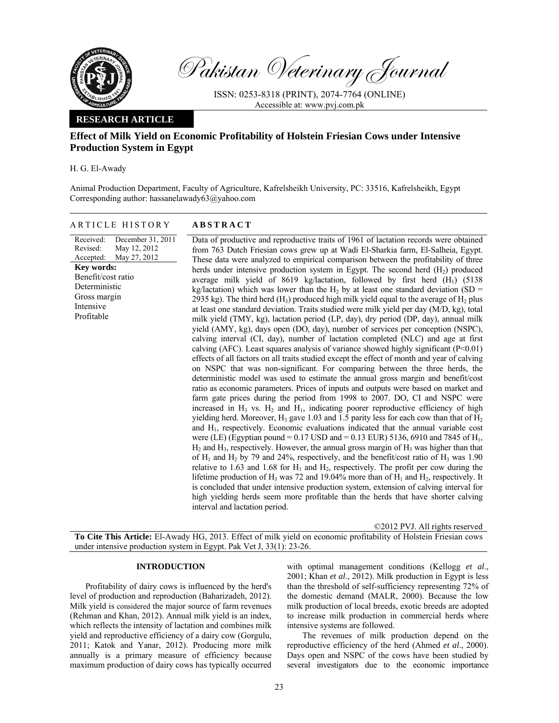

Pakistan Veterinary Journal

ISSN: 0253-8318 (PRINT), 2074-7764 (ONLINE) Accessible at: www.pvj.com.pk

### **RESEARCH ARTICLE**

# **Effect of Milk Yield on Economic Profitability of Holstein Friesian Cows under Intensive Production System in Egypt**

H. G. El-Awady

Animal Production Department, Faculty of Agriculture, Kafrelsheikh University, PC: 33516, Kafrelsheikh, Egypt Corresponding author: hassanelawady63@yahoo.com

|  |  | ARTICLE HISTORY |
|--|--|-----------------|
|--|--|-----------------|

## **ABSTRACT**

| Received:          | December 31, 2011      | Data of productive and reproductive traits of 1961 of lactation records were obtained                                     |
|--------------------|------------------------|---------------------------------------------------------------------------------------------------------------------------|
| Revised:           | May 12, 2012           | from 763 Dutch Friesian cows grew up at Wadi El-Sharkia farm, El-Salheia, Egypt.                                          |
|                    | Accepted: May 27, 2012 | These data were analyzed to empirical comparison between the profitability of three                                       |
| Key words:         |                        | herds under intensive production system in Egypt. The second herd $(H_2)$ produced                                        |
| Benefit/cost ratio |                        | average milk yield of 8619 kg/lactation, followed by first herd $(H_1)$ (5138)                                            |
| Deterministic      |                        | kg/lactation) which was lower than the H <sub>2</sub> by at least one standard deviation (SD =                            |
| Gross margin       |                        | 2935 kg). The third herd $(H_3)$ produced high milk yield equal to the average of $H_2$ plus                              |
| Intensive          |                        | at least one standard deviation. Traits studied were milk yield per day (M/D, kg), total                                  |
| Profitable         |                        | milk yield (TMY, kg), lactation period (LP, day), dry period (DP, day), annual milk                                       |
|                    |                        | yield (AMY, kg), days open (DO, day), number of services per conception (NSPC),                                           |
|                    |                        | calving interval (CI, day), number of lactation completed (NLC) and age at first                                          |
|                    |                        | calving (AFC). Least squares analysis of variance showed highly significant $(P<0.01)$                                    |
|                    |                        | effects of all factors on all traits studied except the effect of month and year of calving                               |
|                    |                        | on NSPC that was non-significant. For comparing between the three herds, the                                              |
|                    |                        |                                                                                                                           |
|                    |                        | deterministic model was used to estimate the annual gross margin and benefit/cost                                         |
|                    |                        | ratio as economic parameters. Prices of inputs and outputs were based on market and                                       |
|                    |                        | farm gate prices during the period from 1998 to 2007. DO, CI and NSPC were                                                |
|                    |                        | increased in $H_3$ vs. $H_2$ and $H_1$ , indicating poorer reproductive efficiency of high                                |
|                    |                        | yielding herd. Moreover, $H_3$ gave 1.03 and 1.5 parity less for each cow than that of $H_2$                              |
|                    |                        | and H <sub>1</sub> , respectively. Economic evaluations indicated that the annual variable cost                           |
|                    |                        | were (LE) (Egyptian pound = $0.17$ USD and = 0.13 EUR) 5136, 6910 and 7845 of H <sub>1</sub> ,                            |
|                    |                        | $H_2$ and $H_3$ , respectively. However, the annual gross margin of $H_3$ was higher than that                            |
|                    |                        | of $H_1$ and $H_2$ by 79 and 24%, respectively, and the benefit/cost ratio of $H_3$ was 1.90                              |
|                    |                        | relative to 1.63 and 1.68 for $H_1$ and $H_2$ , respectively. The profit per cow during the                               |
|                    |                        | lifetime production of H <sub>3</sub> was 72 and 19.04% more than of H <sub>1</sub> and H <sub>2</sub> , respectively. It |
|                    |                        | is concluded that under intensive production system, extension of calving interval for                                    |
|                    |                        | high yielding herds seem more profitable than the herds that have shorter calving                                         |
|                    |                        | interval and lactation period.                                                                                            |
|                    |                        |                                                                                                                           |

©2012 PVJ. All rights reserved

**To Cite This Article:** El-Awady HG, 2013. Effect of milk yield on economic profitability of Holstein Friesian cows under intensive production system in Egypt. Pak Vet J, 33(1): 23-26.

### **INTRODUCTION**

Profitability of dairy cows is influenced by the herd's level of production and reproduction (Baharizadeh, 2012). Milk yield is considered the major source of farm revenues (Rehman and Khan, 2012). Annual milk yield is an index, which reflects the intensity of lactation and combines milk yield and reproductive efficiency of a dairy cow (Gorgulu, 2011; Katok and Yanar, 2012). Producing more milk annually is a primary measure of efficiency because maximum production of dairy cows has typically occurred

with optimal management conditions (Kellogg *et al*., 2001; Khan *et al*., 2012). Milk production in Egypt is less than the threshold of self-sufficiency representing 72% of the domestic demand (MALR, 2000). Because the low milk production of local breeds, exotic breeds are adopted to increase milk production in commercial herds where intensive systems are followed.

The revenues of milk production depend on the reproductive efficiency of the herd (Ahmed *et al*., 2000). Days open and NSPC of the cows have been studied by several investigators due to the economic importance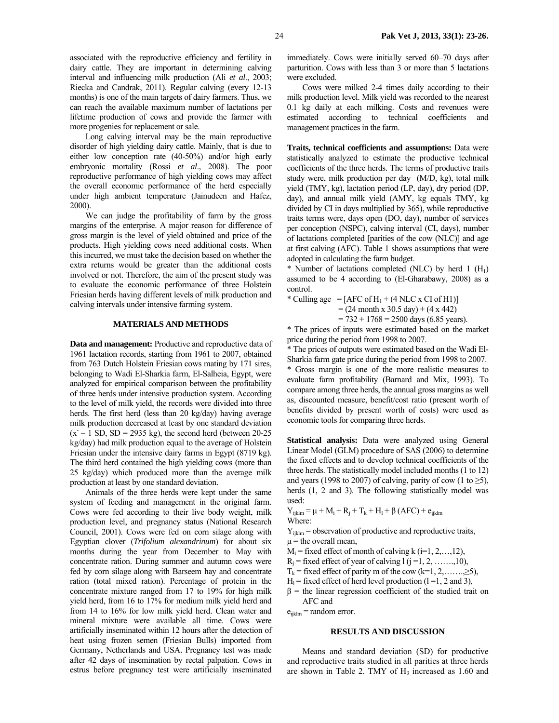associated with the reproductive efficiency and fertility in dairy cattle. They are important in determining calving interval and influencing milk production (Ali *et al*., 2003; Riecka and Candrak, 2011). Regular calving (every 12-13 months) is one of the main targets of dairy farmers. Thus, we can reach the available maximum number of lactations per lifetime production of cows and provide the farmer with more progenies for replacement or sale.

Long calving interval may be the main reproductive disorder of high yielding dairy cattle. Mainly, that is due to either low conception rate (40-50%) and/or high early embryonic mortality (Rossi *et al*., 2008). The poor reproductive performance of high yielding cows may affect the overall economic performance of the herd especially under high ambient temperature (Jainudeen and Hafez, 2000).

We can judge the profitability of farm by the gross margins of the enterprise. A major reason for difference of gross margin is the level of yield obtained and price of the products. High yielding cows need additional costs. When this incurred, we must take the decision based on whether the extra returns would be greater than the additional costs involved or not. Therefore, the aim of the present study was to evaluate the economic performance of three Holstein Friesian herds having different levels of milk production and calving intervals under intensive farming system.

### **MATERIALS AND METHODS**

**Data and management:** Productive and reproductive data of 1961 lactation records, starting from 1961 to 2007, obtained from 763 Dutch Holstein Friesian cows mating by 171 sires, belonging to Wadi El-Sharkia farm, El-Salheia, Egypt, were analyzed for empirical comparison between the profitability of three herds under intensive production system. According to the level of milk yield, the records were divided into three herds. The first herd (less than 20 kg/day) having average milk production decreased at least by one standard deviation  $(x - 1)$  SD, SD = 2935 kg), the second herd (between 20-25) kg/day) had milk production equal to the average of Holstein Friesian under the intensive dairy farms in Egypt (8719 kg). The third herd contained the high yielding cows (more than 25 kg/day) which produced more than the average milk production at least by one standard deviation.

Animals of the three herds were kept under the same system of feeding and management in the original farm. Cows were fed according to their live body weight, milk production level, and pregnancy status (National Research Council, 2001). Cows were fed on corn silage along with Egyptian clover (*Trifolium alexandrinum*) for about six months during the year from December to May with concentrate ration. During summer and autumn cows were fed by corn silage along with Barseem hay and concentrate ration (total mixed ration). Percentage of protein in the concentrate mixture ranged from 17 to 19% for high milk yield herd, from 16 to 17% for medium milk yield herd and from 14 to 16% for low milk yield herd. Clean water and mineral mixture were available all time. Cows were artificially inseminated within 12 hours after the detection of heat using frozen semen (Friesian Bulls) imported from Germany, Netherlands and USA. Pregnancy test was made after 42 days of insemination by rectal palpation. Cows in estrus before pregnancy test were artificially inseminated immediately. Cows were initially served 60–70 days after parturition. Cows with less than 3 or more than 5 lactations were excluded.

Cows were milked 2-4 times daily according to their milk production level. Milk yield was recorded to the nearest 0.1 kg daily at each milking. Costs and revenues were estimated according to technical coefficients and management practices in the farm.

**Traits, technical coefficients and assumptions:** Data were statistically analyzed to estimate the productive technical coefficients of the three herds. The terms of productive traits study were, milk production per day (M/D, kg), total milk yield (TMY, kg), lactation period (LP, day), dry period (DP, day), and annual milk yield (AMY, kg equals TMY, kg divided by CI in days multiplied by 365), while reproductive traits terms were, days open (DO, day), number of services per conception (NSPC), calving interval (CI, days), number of lactations completed [parities of the cow (NLC)] and age at first calving (AFC). Table 1 shows assumptions that were adopted in calculating the farm budget.

\* Number of lactations completed (NLC) by herd 1  $(H_1)$ assumed to be 4 according to (El-Gharabawy, 2008) as a control.

\* Culling age =  $[AFC \text{ of } H_1 + (4 \text{ NLC} \times \text{CI of } H_1)]$  $= (24 \text{ month x } 30.5 \text{ day}) + (4 \text{ x } 442)$ 

 $= 732 + 1768 = 2500$  days (6.85 years).

\* The prices of inputs were estimated based on the market price during the period from 1998 to 2007.

\* The prices of outputs were estimated based on the Wadi El-Sharkia farm gate price during the period from 1998 to 2007. \* Gross margin is one of the more realistic measures to evaluate farm profitability (Barnard and Mix, 1993). To compare among three herds, the annual gross margins as well as, discounted measure, benefit/cost ratio (present worth of benefits divided by present worth of costs) were used as economic tools for comparing three herds.

**Statistical analysis:** Data were analyzed using General Linear Model (GLM) procedure of SAS (2006) to determine the fixed effects and to develop technical coefficients of the three herds. The statistically model included months (1 to 12) and years (1998 to 2007) of calving, parity of cow (1 to  $\geq 5$ ), herds  $(1, 2, 3)$ . The following statistically model was used:

 $Y_{ijklm} = μ + M_i + R_j + T_k + H_l + β (AFC) + e_{ijklm}$ 

Where:

 $Y_{ijklm}$  = observation of productive and reproductive traits,  $\mu$  = the overall mean,

 $M_i$  = fixed effect of month of calving k (i=1, 2, ..., 12),

 $R_i$  = fixed effect of year of calving  $l$  ( $j$  =1, 2, ……, 10),

- $T_k$  = fixed effect of parity m of the cow (k=1, 2,.......,  $\geq$ 5),
- $H<sub>1</sub>$  = fixed effect of herd level production (1 = 1, 2 and 3),
- $\beta$  = the linear regression coefficient of the studied trait on AFC and

 $e_{iiklm}$  = random error.

#### **RESULTS AND DISCUSSION**

Means and standard deviation (SD) for productive and reproductive traits studied in all parities at three herds are shown in Table 2. TMY of  $H_3$  increased as 1.60 and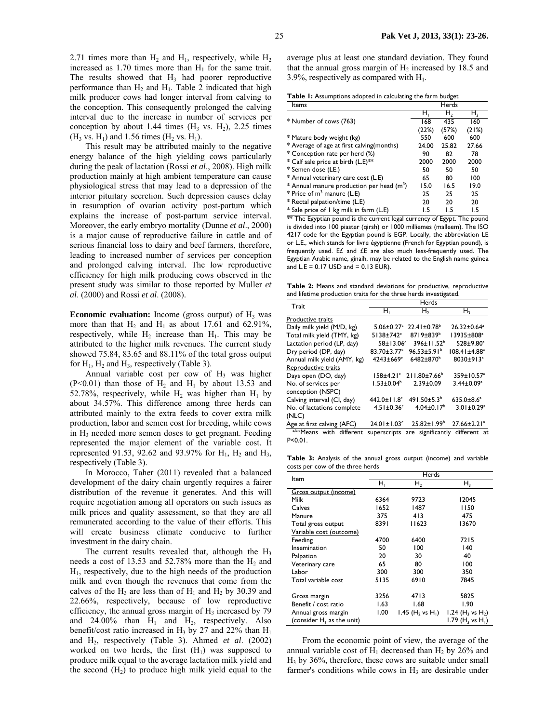2.71 times more than  $H_2$  and  $H_1$ , respectively, while  $H_2$ increased as  $1.70$  times more than  $H<sub>1</sub>$  for the same trait. The results showed that  $H_3$  had poorer reproductive performance than  $H_2$  and  $H_1$ . Table 2 indicated that high milk producer cows had longer interval from calving to the conception. This consequently prolonged the calving interval due to the increase in number of services per conception by about 1.44 times  $(H_3 \text{ vs. } H_2)$ , 2.25 times  $(H_3 \text{ vs. } H_1)$  and 1.56 times  $(H_2 \text{ vs. } H_1)$ .

This result may be attributed mainly to the negative energy balance of the high yielding cows particularly during the peak of lactation (Rossi *et al*., 2008). High milk production mainly at high ambient temperature can cause physiological stress that may lead to a depression of the interior pituitary secretion. Such depression causes delay in resumption of ovarian activity post-partum which explains the increase of post-partum service interval. Moreover, the early embryo mortality (Dunne *et al*., 2000) is a major cause of reproductive failure in cattle and of serious financial loss to dairy and beef farmers, therefore, leading to increased number of services per conception and prolonged calving interval. The low reproductive efficiency for high milk producing cows observed in the present study was similar to those reported by Muller *et al*. (2000) and Rossi *et al*. (2008).

**Economic evaluation:** Income (gross output) of  $H_3$  was more than that  $H_2$  and  $H_1$  as about 17.61 and 62.91%, respectively, while  $H_2$  increase than  $H_1$ . This may be attributed to the higher milk revenues. The current study showed 75.84, 83.65 and 88.11% of the total gross output for  $H_1$ ,  $H_2$  and  $H_3$ , respectively (Table 3).

Annual variable cost per cow of  $H_3$  was higher  $(P<0.01)$  than those of H<sub>2</sub> and H<sub>1</sub> by about 13.53 and 52.78%, respectively, while  $H_2$  was higher than  $H_1$  by about 34.57%. This difference among three herds can attributed mainly to the extra feeds to cover extra milk production, labor and semen cost for breeding, while cows in H<sub>3</sub> needed more semen doses to get pregnant. Feeding represented the major element of the variable cost. It represented 91.53, 92.62 and 93.97% for  $H_1$ ,  $H_2$  and  $H_3$ , respectively (Table 3).

In Morocco, Taher (2011) revealed that a balanced development of the dairy chain urgently requires a fairer distribution of the revenue it generates. And this will require negotiation among all operators on such issues as milk prices and quality assessment, so that they are all remunerated according to the value of their efforts. This will create business climate conducive to further investment in the dairy chain.

The current results revealed that, although the  $H_3$ needs a cost of 13.53 and 52.78% more than the  $H_2$  and  $H<sub>1</sub>$ , respectively, due to the high needs of the production milk and even though the revenues that come from the calves of the H<sub>3</sub> are less than of H<sub>1</sub> and H<sub>2</sub> by 30.39 and 22.66%, respectively, because of low reproductive efficiency, the annual gross margin of  $H_3$  increased by 79 and  $24.00\%$  than  $H_1$  and  $H_2$ , respectively. Also benefit/cost ratio increased in  $H_3$  by 27 and 22% than  $H_1$ and H2, respectively (Table 3). Ahmed *et al*. (2002) worked on two herds, the first  $(H_1)$  was supposed to produce milk equal to the average lactation milk yield and the second  $(H<sub>2</sub>)$  to produce high milk yield equal to the

| Table 1: Assumptions adopted in calculating the farm budget |  |  |  |  |
|-------------------------------------------------------------|--|--|--|--|
|-------------------------------------------------------------|--|--|--|--|

| Items                                                 |       | Herds |       |
|-------------------------------------------------------|-------|-------|-------|
|                                                       | н,    | н,    | н,    |
| * Number of cows (763)                                | 168   | 435   | 160   |
|                                                       | (22%) | (57%) | (21%) |
| * Mature body weight (kg)                             | 550   | 600   | 600   |
| * Average of age at first calving (months)            | 24.00 | 25.82 | 27.66 |
| * Conception rate per herd (%)                        | 90    | 82    | 78    |
| * Calf sale price at birth (L.E)**                    | 2000  | 2000  | 2000  |
| * Semen dose (LE.)                                    | 50    | 50    | 50    |
| * Annual veterinary care cost (L.E)                   | 65    | 80    | 100   |
| * Annual manure production per head (m <sup>3</sup> ) | 15.0  | 16.5  | 19.0  |
| * Price of $m3$ manure (L.E)                          | 25    | 25    | 25    |
| * Rectal palpation/time (L.E)                         | 20    | 20    | 20    |
| * Sale price of 1 kg milk in farm (L.E)               | 1.5   | 1.5   | 1.5   |

\*\* The Egyptian pound is the current legal currency of Egypt. The pound is divided into 100 piaster (qirsh) or 1000 milliemes (malleem). The ISO 4217 code for the Egyptian pound is EGP. Locally, the abbreviation LE or L.E., which stands for livre égyptienne (French for Egyptian pound), is frequently used. E£ and £E are also much less-frequently used. The Egyptian Arabic name, ginaih, may be related to the English name guinea and  $L.E = 0.17$  USD and  $= 0.13$  EUR).

**Table 2:** Means and standard deviations for productive, reproductive and lifetime production traits for the three herds investigated

| Trait                       | <b>Herds</b>                  |                               |                                             |  |  |  |
|-----------------------------|-------------------------------|-------------------------------|---------------------------------------------|--|--|--|
|                             | н,                            | н,                            | H <sub>3</sub>                              |  |  |  |
| Productive traits           |                               |                               |                                             |  |  |  |
| Daily milk yield (M/D, kg)  | $5.06 \pm 0.27$ <sup>c</sup>  | $22.41 \pm 0.78$ <sup>b</sup> | $26.32 \pm 0.64$ <sup>a</sup>               |  |  |  |
| Total milk yield (TMY, kg)  | $5138 \pm 742$ <sup>c</sup>   | $8719 \pm 839$ <sup>b</sup>   | 13935±808 <sup>a</sup>                      |  |  |  |
| Lactation period (LP, day)  | 58±13.06°                     | 396±11.52 <sup>b</sup>        | 528±9.80 <sup>a</sup>                       |  |  |  |
| Dry period (DP, day)        | $83.70 \pm 3.77$ <sup>c</sup> | $96.53 \pm 5.91^{\circ}$      | $108.41 \pm 4.88^a$                         |  |  |  |
| Annual milk yield (AMY, kg) | $4243 \pm 669$ <sup>c</sup>   | 6482±870 <sup>b</sup>         | 8030±913 <sup>a</sup>                       |  |  |  |
| Reproductive traits         |                               |                               |                                             |  |  |  |
| Days open (DO, day)         | $158 + 4.21$ °                | $211.80 \pm 7.66^b$           | 359±10.57 <sup>a</sup>                      |  |  |  |
| No. of services per         | $1.53 \pm 0.04^b$             | $2.39 \pm 0.09$               | $3.44 \pm 0.09$ <sup>a</sup>                |  |  |  |
| conception (NSPC)           |                               |                               |                                             |  |  |  |
| Calving interval (CI, day)  | $442.0 \pm 11.8$ <sup>c</sup> | 491.50 $\pm$ 5.3 <sup>b</sup> | $635.0 \pm 8.6^a$                           |  |  |  |
| No. of lactations complete  | $4.51 \pm 0.36$ <sup>c</sup>  | $4.04 \pm 0.17^b$             | $3.01 \pm 0.29$ <sup>a</sup>                |  |  |  |
| (NLC)                       |                               |                               |                                             |  |  |  |
| Age at first calving (AFC)  | $24.01 \pm 1.03$ <sup>c</sup> | $25.82 \pm 1.99^b$            | $27.66 \pm 2.21$ <sup>a</sup>               |  |  |  |
| a,b,cMeans with different   |                               |                               | superscripts are significantly different at |  |  |  |
| $P < 0.01$ .                |                               |                               |                                             |  |  |  |

**Table 3:** Analysis of the annual gross output (income) and variable costs per cow of the three herds

| ltem                         | Herds |                                          |                                          |  |
|------------------------------|-------|------------------------------------------|------------------------------------------|--|
|                              | н,    | H <sub>2</sub>                           | $H_3$                                    |  |
| Gross output (income)        |       |                                          |                                          |  |
| Milk                         | 6364  | 9723                                     | 12045                                    |  |
| Calves                       | 1652  | 1487                                     | 1150                                     |  |
| Manure                       | 375   | 413                                      | 475                                      |  |
| Total gross output           | 8391  | 11623                                    | 13670                                    |  |
| Variable cost (outcome)      |       |                                          |                                          |  |
| Feeding                      | 4700  | 6400                                     | 7215                                     |  |
| Insemination                 | 50    | 100                                      | 140                                      |  |
| Palpation                    | 20    | 30                                       | 40                                       |  |
| Veterinary care              | 65    | 80                                       | 100                                      |  |
| Labor                        | 300   | 300                                      | 350                                      |  |
| Total variable cost          | 5135  | 6910                                     | 7845                                     |  |
|                              |       |                                          |                                          |  |
| Gross margin                 | 3256  | 4713                                     | 5825                                     |  |
| Benefit / cost ratio         | 1.63  | 1.68                                     | 1.90                                     |  |
| Annual gross margin          | 1.00  | 1.45 (H <sub>2</sub> vs H <sub>1</sub> ) | 1.24 (H <sub>3</sub> vs H <sub>2</sub> ) |  |
| (consider $H_1$ as the unit) |       |                                          | 1.79 (H <sub>3</sub> vs H <sub>1</sub> ) |  |

From the economic point of view, the average of the annual variable cost of  $H_1$  decreased than  $H_2$  by 26% and  $H<sub>3</sub>$  by 36%, therefore, these cows are suitable under small farmer's conditions while cows in  $H_3$  are desirable under